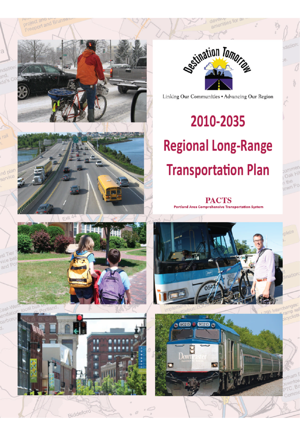Freeport and Bri

a



Fxit

ortland

Biddeford



Linking Our Communities . Advancing Our Region

# 2010-2035 **Regional Long-Range Transportation Plan**

own

**PACTS Portland Area Comprehensive Transportation System** 



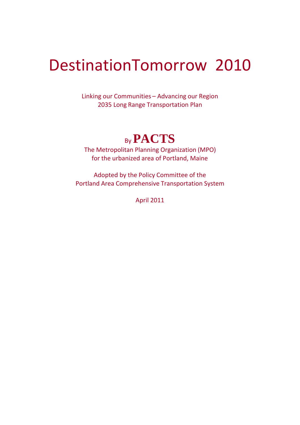## DestinationTomorrow 2010

Linking our Communities – Advancing our Region 2035 Long Range Transportation Plan

### By**PACTS**

The Metropolitan Planning Organization (MPO) for the urbanized area of Portland, Maine

Adopted by the Policy Committee of the Portland Area Comprehensive Transportation System

April 2011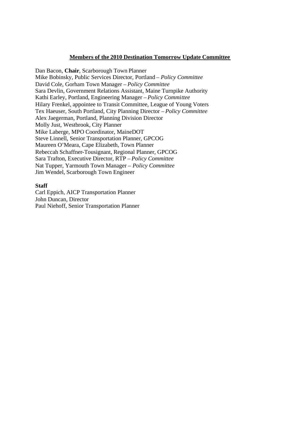#### **Members of the 2010 Destination Tomorrow Update Committee**

Dan Bacon, **Chair**, Scarborough Town Planner Mike Bobinsky, Public Services Director, Portland *– Policy Committee* David Cole, Gorham Town Manager *– Policy Committee* Sara Devlin, Government Relations Assistant, Maine Turnpike Authority Kathi Earley, Portland, Engineering Manager *– Policy Committee* Hilary Frenkel, appointee to Transit Committee, League of Young Voters Tex Haeuser, South Portland, City Planning Director *– Policy Committee* Alex Jaegerman, Portland, Planning Division Director Molly Just, Westbrook, City Planner Mike Laberge, MPO Coordinator, MaineDOT Steve Linnell, Senior Transportation Planner, GPCOG Maureen O'Meara, Cape Elizabeth, Town Planner Rebeccah Schaffner-Tousignant, Regional Planner, GPCOG Sara Trafton, Executive Director, RTP *– Policy Committee* Nat Tupper, Yarmouth Town Manager *– Policy Committee* Jim Wendel, Scarborough Town Engineer

#### **Staff**

Carl Eppich, AICP Transportation Planner John Duncan, Director Paul Niehoff, Senior Transportation Planner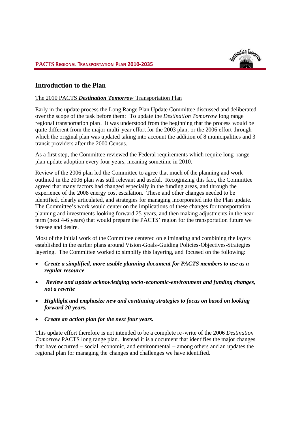#### **Introduction to the Plan**

#### The 2010 PACTS *Destination Tomorrow* Transportation Plan

Early in the update process the Long Range Plan Update Committee discussed and deliberated over the scope of the task before them: To update the *Destination Tomorrow* long range regional transportation plan. It was understood from the beginning that the process would be quite different from the major multi-year effort for the 2003 plan, or the 2006 effort through which the original plan was updated taking into account the addition of 8 municipalities and 3 transit providers after the 2000 Census.

As a first step, the Committee reviewed the Federal requirements which require long -range plan update adoption every four years, meaning sometime in 2010.

Review of the 2006 plan led the Committee to agree that much of the planning and work outlined in the 2006 plan was still relevant and useful. Recognizing this fact, the Committee agreed that many factors had changed especially in the funding areas, and through the experience of the 2008 energy cost escalation. These and other changes needed to be identified, clearly articulated, and strategies for managing incorporated into the Plan update. The Committee's work would center on the implications of these changes for transportation planning and investments looking forward 25 years, and then making adjustments in the near term (next 4-6 years) that would prepare the PACTS' region for the transportation future we foresee and desire.

Most of the initial work of the Committee centered on eliminating and combining the layers established in the earlier plans around Vision-Goals-Guiding Policies-Objectives-Strategies layering. The Committee worked to simplify this layering, and focused on the following:

- *Create a simplified, more usable planning document for PACTS members to use as a regular resource*
- *Review and update acknowledging socio-economic-environment and funding changes, not a rewrite*
- *Highlight and emphasize new and continuing strategies to focus on based on looking forward 20 years.*
- *Create an action plan for the next four years.*

This update effort therefore is not intended to be a complete re -write of the 2006 *Destination Tomorrow* PACTS long range plan. Instead it is a document that identifies the major changes that have occurred – social, economic, and environmental – among others and an updates the regional plan for managing the changes and challenges we have identified.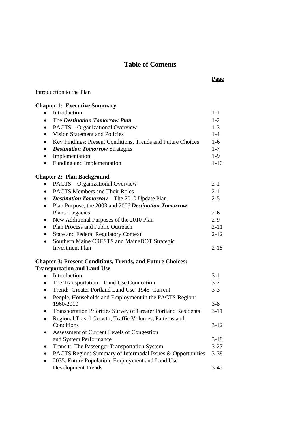#### **Table of Contents**

**Page**

#### Introduction to the Plan

| <b>Chapter 1: Executive Summary</b>                         |          |
|-------------------------------------------------------------|----------|
| Introduction                                                | $1 - 1$  |
| The Destination Tomorrow Plan                               | $1-2$    |
| PACTS – Organizational Overview                             | $1-3$    |
| Vision Statement and Policies                               | $1-4$    |
| Key Findings: Present Conditions, Trends and Future Choices | $1-6$    |
| <b>Destination Tomorrow Strategies</b>                      | $1 - 7$  |
| Implementation                                              | $1-9$    |
| Funding and Implementation                                  | $1 - 10$ |
| <b>Chapter 2: Plan Background</b>                           |          |
| PACTS – Organizational Overview                             | $2 - 1$  |
| <b>PACTS Members and Their Roles</b><br>$\bullet$           | $2 - 1$  |
| <b>Destination Tomorrow - The 2010 Update Plan</b><br>٠     | $2 - 5$  |
| Plan Purpose, the 2003 and 2006 Destination Tomorrow        |          |
| Plans' Legacies                                             | $2 - 6$  |
| New Additional Purposes of the 2010 Plan<br>٠               | $2 - 9$  |
| Plan Process and Public Outreach                            | $2 - 11$ |
| <b>State and Federal Regulatory Context</b>                 | $2 - 12$ |
| Southern Maine CRESTS and MaineDOT Strategic                |          |
| Investment Plan                                             | $2 - 18$ |
|                                                             |          |

#### **Chapter 3: Present Conditions, Trends, and Future Choices: Transportation and Land Use**

| Introduction                                                          | $3-1$    |
|-----------------------------------------------------------------------|----------|
| The Transportation – Land Use Connection                              | $3-2$    |
| Trend: Greater Portland Land Use 1945–Current                         | $3 - 3$  |
| People, Households and Employment in the PACTS Region:<br>1960-2010   | $3-8$    |
| <b>Transportation Priorities Survey of Greater Portland Residents</b> | $3 - 11$ |
| Regional Travel Growth, Traffic Volumes, Patterns and                 |          |
| Conditions                                                            | $3-12$   |
| Assessment of Current Levels of Congestion                            |          |
| and System Performance                                                | $3 - 18$ |
| Transit: The Passenger Transportation System                          | $3 - 27$ |
| PACTS Region: Summary of Intermodal Issues & Opportunities            | $3 - 38$ |
| 2035: Future Population, Employment and Land Use                      |          |
| <b>Development Trends</b>                                             | 3-45     |
|                                                                       |          |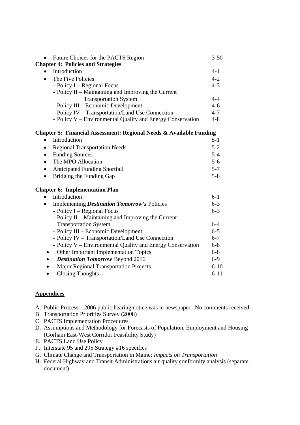| Future Choices for the PACTS Region<br>$\bullet$<br><b>Chapter 4: Policies and Strategies</b> | $3 - 50$ |  |  |
|-----------------------------------------------------------------------------------------------|----------|--|--|
| Introduction                                                                                  | $4 - 1$  |  |  |
| The Five Policies<br>$\bullet$                                                                | $4 - 2$  |  |  |
| - Policy I – Regional Focus                                                                   | $4 - 3$  |  |  |
| - Policy $II$ – Maintaining and Improving the Current                                         |          |  |  |
| <b>Transportation System</b>                                                                  | $4 - 4$  |  |  |
| - Policy III – Economic Development                                                           | $4-6$    |  |  |
| - Policy IV – Transportation/Land Use Connection                                              | $4 - 7$  |  |  |
| - Policy V – Environmental Quality and Energy Conservation                                    | $4 - 8$  |  |  |
| Chapter 5: Financial Assessment: Regional Needs & Available Funding                           |          |  |  |

| Introduction                         | $5 - 1$ |
|--------------------------------------|---------|
| <b>Regional Transportation Needs</b> | $5-2$   |
| • Funding Sources                    | $5-4$   |
| The MPO Allocation                   | $5-6$   |
| <b>Anticipated Funding Shortfall</b> | $5 - 7$ |
| Bridging the Funding Gap             | $5 - 8$ |

#### **Chapter 6: Implementation Plan**

| Introduction                                                     | $6-1$    |
|------------------------------------------------------------------|----------|
| <b>Implementing Destination Tomorrow's Policies</b><br>$\bullet$ | $6 - 3$  |
| - Policy I – Regional Focus                                      | $6 - 3$  |
| - Policy II – Maintaining and Improving the Current              |          |
| <b>Transportation System</b>                                     | $6-4$    |
| - Policy III – Economic Development                              | $6 - 5$  |
| - Policy IV – Transportation/Land Use Connection                 | $6 - 7$  |
| - Policy V – Environmental Quality and Energy Conservation       | $6 - 8$  |
| Other Important Implementation Topics                            | $6 - 8$  |
| <b>Destination Tomorrow Beyond 2016</b>                          | $6-9$    |
| <b>Major Regional Transportation Projects</b>                    | $6 - 10$ |
| <b>Closing Thoughts</b>                                          | $6 - 11$ |

#### **Appendices**

- A. Public Process 2006 public hearing notice was in newspaper. No comments received.
- B. Transportation Priorities Survey (2008)
- C. PACTS Implementation Procedures
- D. Assumptions and Methodology for Forecasts of Population, Employment and Housing (Gorham East-West Corridor Feasibility Study)
- E. PACTS Land Use Policy
- F. Interstate 95 and 295 Strategy #16 specifics
- G. Climate Change and Transportation in Maine: *Impacts on Transportation*
- H. Federal Highway and Transit Administrations air quality conformity analysis (separate document)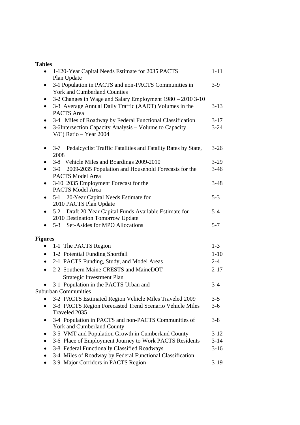#### **Tables**

| $\bullet$      | 1-120-Year Capital Needs Estimate for 2035 PACTS<br>Plan Update       | $1 - 11$ |
|----------------|-----------------------------------------------------------------------|----------|
| $\bullet$      | 3-1 Population in PACTS and non-PACTS Communities in                  | $3-9$    |
|                | <b>York and Cumberland Counties</b>                                   |          |
| ٠              | 3-2 Changes in Wage and Salary Employment 1980 – 2010 3-10            |          |
| $\bullet$      | 3-3 Average Annual Daily Traffic (AADT) Volumes in the                | $3-13$   |
|                | <b>PACTS</b> Area                                                     |          |
| ٠              | 3-4 Miles of Roadway by Federal Functional Classification             | $3-17$   |
| $\bullet$      | 3-6Intersection Capacity Analysis - Volume to Capacity                | $3 - 24$ |
|                | $V/C$ ) Ratio - Year 2004                                             |          |
|                |                                                                       |          |
| ٠              | Pedalcyclist Traffic Fatalities and Fatality Rates by State,<br>$3-7$ | $3 - 26$ |
|                | 2008                                                                  |          |
|                | 3-8 Vehicle Miles and Boardings 2009-2010                             | $3-29$   |
|                | 2009-2035 Population and Household Forecasts for the<br>$3-9$         | $3-46$   |
|                | <b>PACTS Model Area</b>                                               |          |
| $\bullet$      | 3-10 2035 Employment Forecast for the                                 | $3-48$   |
|                | <b>PACTS Model Area</b>                                               |          |
| $\bullet$      | 5-1 20-Year Capital Needs Estimate for<br>2010 PACTS Plan Update      | $5 - 3$  |
| $\bullet$      | 5-2 Draft 20-Year Capital Funds Available Estimate for                | $5 - 4$  |
|                | 2010 Destination Tomorrow Update                                      |          |
|                | 5-3 Set-Asides for MPO Allocations                                    | $5 - 7$  |
|                |                                                                       |          |
| <b>Figures</b> |                                                                       |          |
|                | 1-1 The PACTS Region                                                  | $1 - 3$  |
| $\bullet$      | 1-2 Potential Funding Shortfall                                       | $1 - 10$ |
| $\bullet$      | 2-1 PACTS Funding, Study, and Model Areas                             | $2 - 4$  |
| $\bullet$      | 2-2 Southern Maine CRESTS and MaineDOT                                | $2 - 17$ |
|                | Strategic Investment Plan                                             |          |
|                | 3-1 Population in the PACTS Urban and                                 | $3 - 4$  |
|                | <b>Suburban Communities</b>                                           |          |
|                | 3-2 PACTS Estimated Region Vehicle Miles Traveled 2009                | $3 - 5$  |
|                | 3-3 PACTS Region Forecasted Trend Scenario Vehicle Miles              | $3 - 6$  |
|                | Traveled 2035                                                         |          |
| ٠              | 3-4 Population in PACTS and non-PACTS Communities of                  | $3 - 8$  |
|                | York and Cumberland County                                            |          |
|                | 3-5 VMT and Population Growth in Cumberland County                    | $3-12$   |
|                | 3-6 Place of Employment Journey to Work PACTS Residents               | $3 - 14$ |
|                | 3-8 Federal Functionally Classified Roadways                          | $3-16$   |
|                | 3-4 Miles of Roadway by Federal Functional Classification             |          |
|                | 3-9 Major Corridors in PACTS Region                                   | $3-19$   |